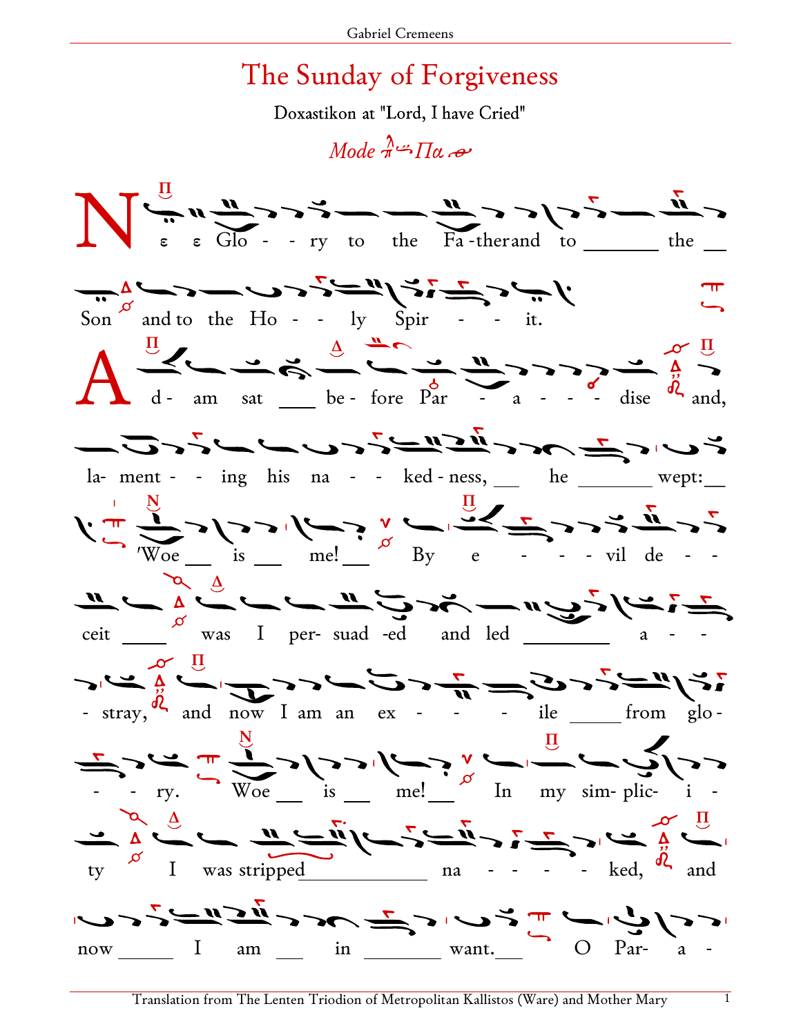## The Sunday of Forgiveness

Doxastikon at "Lord, I have Cried"

 $Model \stackrel{\lambda}{\rightarrow} \prod_{\alpha} \rightarrow$